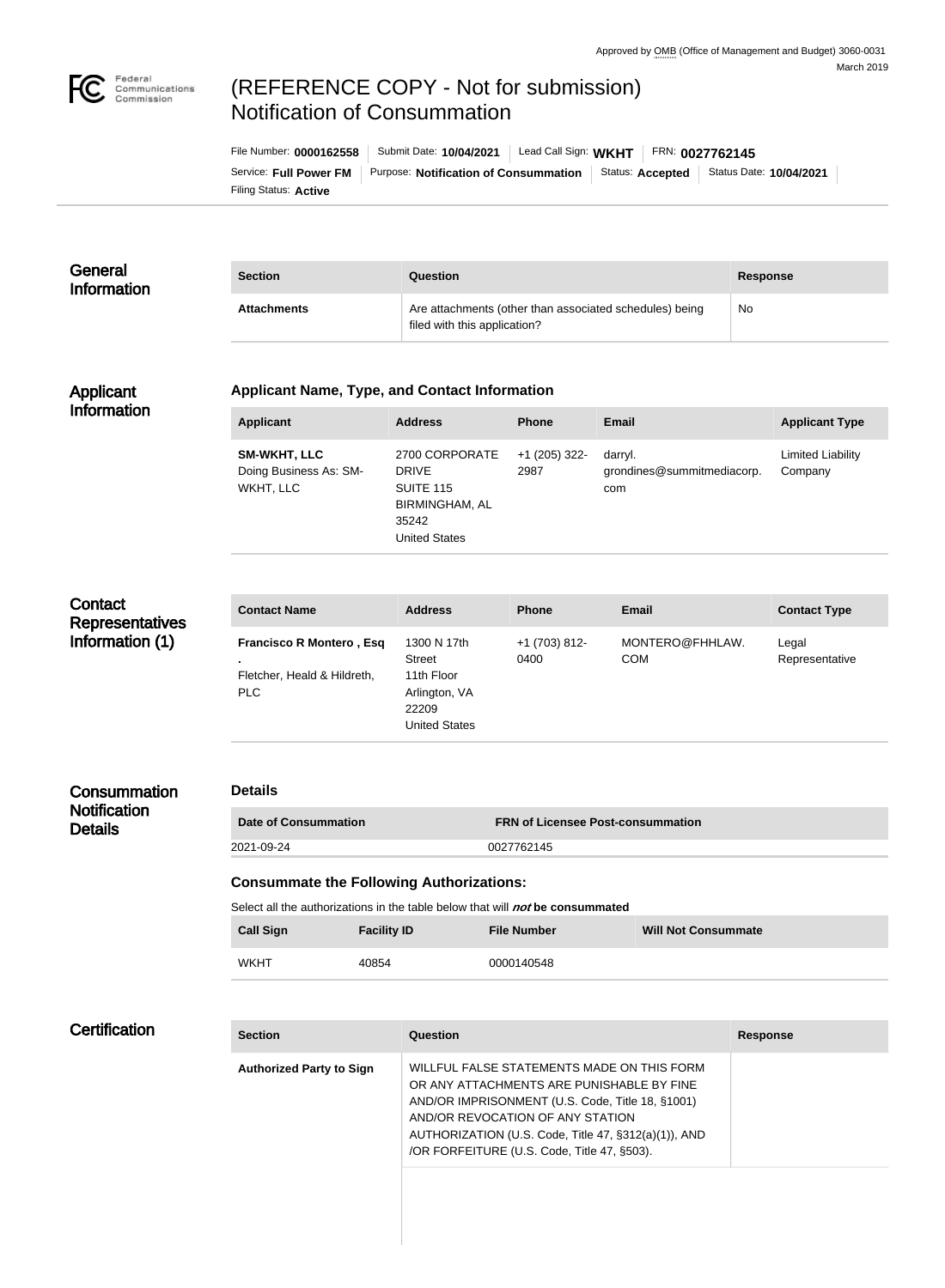

# (REFERENCE COPY - Not for submission) Notification of Consummation

Filing Status: **Active** Service: Full Power FM | Purpose: Notification of Consummation | Status: Accepted | Status Date: 10/04/2021 File Number: **0000162558** Submit Date: **10/04/2021** Lead Call Sign: **WKHT** FRN: **0027762145**

#### **General** Information **Section Question Response** Attachments **Attachments** Are attachments (other than associated schedules) being filed with this application? No

#### Applicant Information

#### **Applicant Name, Type, and Contact Information**

| <b>Applicant</b>                                           | <b>Address</b>                                                                                        | <b>Phone</b>          | Email                                        | <b>Applicant Type</b>        |
|------------------------------------------------------------|-------------------------------------------------------------------------------------------------------|-----------------------|----------------------------------------------|------------------------------|
| <b>SM-WKHT, LLC</b><br>Doing Business As: SM-<br>WKHT, LLC | 2700 CORPORATE<br><b>DRIVE</b><br>SUITE 115<br><b>BIRMINGHAM, AL</b><br>35242<br><b>United States</b> | +1 (205) 322-<br>2987 | darryl.<br>grondines@summitmediacorp.<br>com | Limited Liability<br>Company |

| Contact<br><b>Representatives</b> | <b>Contact Name</b>                                                          | <b>Address</b>                                                                               | <b>Phone</b>          | <b>Email</b>                  | <b>Contact Type</b>     |
|-----------------------------------|------------------------------------------------------------------------------|----------------------------------------------------------------------------------------------|-----------------------|-------------------------------|-------------------------|
| Information (1)                   | <b>Francisco R Montero, Esq</b><br>Fletcher, Heald & Hildreth,<br><b>PLC</b> | 1300 N 17th<br><b>Street</b><br>11th Floor<br>Arlington, VA<br>22209<br><b>United States</b> | +1 (703) 812-<br>0400 | MONTERO@FHHLAW.<br><b>COM</b> | Legal<br>Representative |

## **Consummation Notification Details**

### **Details**

| Date of Consummation | <b>FRN of Licensee Post-consummation</b> |
|----------------------|------------------------------------------|
| 2021-09-24           | 0027762145                               |

#### **Consummate the Following Authorizations:**

Select all the authorizations in the table below that will **not** be consummated

| <b>Call Sign</b> | <b>Facility ID</b> | <b>File Number</b> | <b>Will Not Consummate</b> |
|------------------|--------------------|--------------------|----------------------------|
| WKHT             | 40854              | 0000140548         |                            |

### **Certification**

| <b>Section</b>                  | Question                                                                                                                                                                                                                                                                               | <b>Response</b> |
|---------------------------------|----------------------------------------------------------------------------------------------------------------------------------------------------------------------------------------------------------------------------------------------------------------------------------------|-----------------|
| <b>Authorized Party to Sign</b> | WILLFUL FALSE STATEMENTS MADE ON THIS FORM<br>OR ANY ATTACHMENTS ARE PUNISHABLE BY FINE<br>AND/OR IMPRISONMENT (U.S. Code, Title 18, §1001)<br>AND/OR REVOCATION OF ANY STATION<br>AUTHORIZATION (U.S. Code, Title 47, §312(a)(1)), AND<br>/OR FORFEITURE (U.S. Code, Title 47, §503). |                 |
|                                 |                                                                                                                                                                                                                                                                                        |                 |